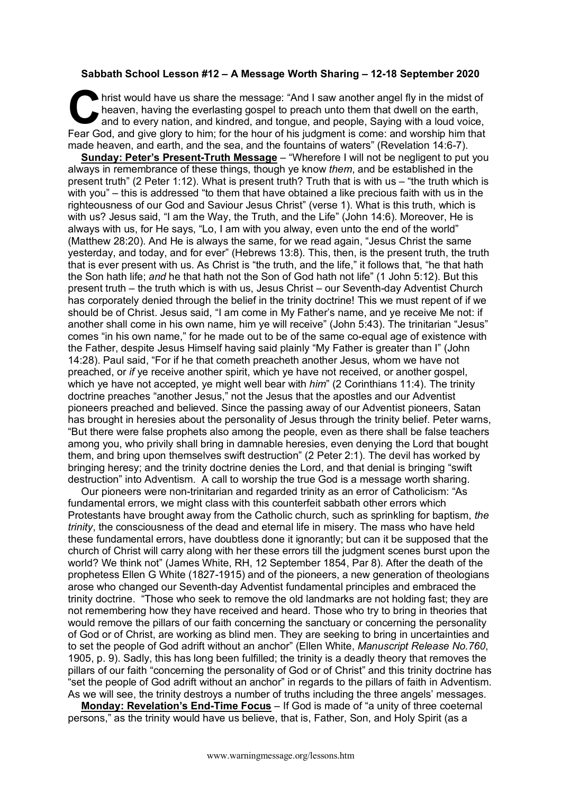## **Sabbath School Lesson #12 – A Message Worth Sharing – 12-18 September 2020**

hrist would have us share the message: "And I saw another angel fly in the midst of heaven, having the everlasting gospel to preach unto them that dwell on the earth, and to every nation, and kindred, and tongue, and people, Saying with a loud voice, Fear God, and give glory to him; for the hour of his judgment is come: and worship him that give glory to him; for the hour of his judgment is come: and worship him that that the hour of his judgment is come: and worship h made heaven, and earth, and the sea, and the fountains of waters" (Revelation 14:6-7).

**Sunday: Peter's Present-Truth Message** – "Wherefore I will not be negligent to put you always in remembrance of these things, though ye know *them*, and be established in the present truth" (2 Peter 1:12). What is present truth? Truth that is with us – "the truth which is with you" – this is addressed "to them that have obtained a like precious faith with us in the righteousness of our God and Saviour Jesus Christ" (verse 1). What is this truth, which is with us? Jesus said, "I am the Way, the Truth, and the Life" (John 14:6). Moreover, He is always with us, for He says, "Lo, I am with you alway, even unto the end of the world" (Matthew 28:20). And He is always the same, for we read again, "Jesus Christ the same yesterday, and today, and for ever" (Hebrews 13:8). This, then, is the present truth, the truth that is ever present with us. As Christ is "the truth, and the life," it follows that, "he that hath the Son hath life; *and* he that hath not the Son of God hath not life" (1 John 5:12). But this present truth – the truth which is with us, Jesus Christ – our Seventh-day Adventist Church has corporately denied through the belief in the trinity doctrine! This we must repent of if we should be of Christ. Jesus said, "I am come in My Father's name, and ye receive Me not: if another shall come in his own name, him ye will receive" (John 5:43). The trinitarian "Jesus" comes "in his own name," for he made out to be of the same co-equal age of existence with the Father, despite Jesus Himself having said plainly "My Father is greater than I" (John 14:28). Paul said, "For if he that cometh preacheth another Jesus, whom we have not preached, or *if* ye receive another spirit, which ye have not received, or another gospel, which ye have not accepted, ye might well bear with *him*" (2 Corinthians 11:4). The trinity doctrine preaches "another Jesus," not the Jesus that the apostles and our Adventist pioneers preached and believed. Since the passing away of our Adventist pioneers, Satan has brought in heresies about the personality of Jesus through the trinity belief. Peter warns, "But there were false prophets also among the people, even as there shall be false teachers among you, who privily shall bring in damnable heresies, even denying the Lord that bought them, and bring upon themselves swift destruction" (2 Peter 2:1). The devil has worked by bringing heresy; and the trinity doctrine denies the Lord, and that denial is bringing "swift destruction" into Adventism. A call to worship the true God is a message worth sharing.

Our pioneers were non-trinitarian and regarded trinity as an error of Catholicism: "As fundamental errors, we might class with this counterfeit sabbath other errors which Protestants have brought away from the Catholic church, such as sprinkling for baptism, *the trinity*, the consciousness of the dead and eternal life in misery. The mass who have held these fundamental errors, have doubtless done it ignorantly; but can it be supposed that the church of Christ will carry along with her these errors till the judgment scenes burst upon the world? We think not" (James White, RH, 12 September 1854, Par 8). After the death of the prophetess Ellen G White (1827-1915) and of the pioneers, a new generation of theologians arose who changed our Seventh-day Adventist fundamental principles and embraced the trinity doctrine. "Those who seek to remove the old landmarks are not holding fast; they are not remembering how they have received and heard. Those who try to bring in theories that would remove the pillars of our faith concerning the sanctuary or concerning the personality of God or of Christ, are working as blind men. They are seeking to bring in uncertainties and to set the people of God adrift without an anchor" (Ellen White, *Manuscript Release No.760*, 1905, p. 9). Sadly, this has long been fulfilled; the trinity is a deadly theory that removes the pillars of our faith "concerning the personality of God or of Christ" and this trinity doctrine has "set the people of God adrift without an anchor" in regards to the pillars of faith in Adventism. As we will see, the trinity destroys a number of truths including the three angels' messages.

**Monday: Revelation's End-Time Focus** – If God is made of "a unity of three coeternal persons," as the trinity would have us believe, that is, Father, Son, and Holy Spirit (as a